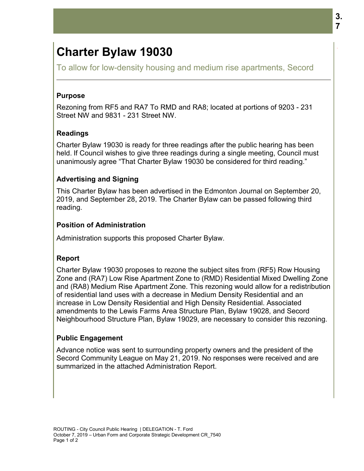# **Charter Bylaw**

To allow for low-density housing and medium rise apartments, Secord

#### **Purpose**

Rezoning from RF5 and RA7 To RMD and RA8; located at portions of 9203 - 231<br>Street NW and 9831 - 231 Street NW.<br>**Readings**<br>Charter Bylaw 19030 is ready for three readings after the public hearing has been Street NW and 9831 - 231 Street NW.

## **Readings**

Charter Bylaw 19030 is ready for three readings after the public hearing has been held. If Council wishes to give three readings during a single meeting, Council must unanimously agree "That Charter Bylaw 19030 be considered for third reading." 19030

## **Advertising and Signing and**

This Charter Bylaw has been advertised in the Edmonton Journal on September 20, 2019, and September 28, 2019. The Charter Bylaw can be passed following third be passed reading.

## **Position of Administration**

Administration supports this proposed Charter Bylaw.

#### **Report**

Charter Bylaw 19030 proposes to rezone the subject sites from (RF5) Row Housing Zone and (RA7) Low Rise Apartment Zone to (RMD) Residential Mixed Dwelling Zone Administration supports this proposed Charter Bylaw.<br>Report<br>Charter Bylaw 19030 proposes to rezone the subject sites from (RF5) Row Housing<br>Zone and (RA7) Low Rise Apartment Zone to (RMD) Residential Mixed Dwelling Zone<br>an of residential land uses with a decrease in Medium Density Residential and an Medium Density an increase in Low Density Residential and High Density Residential. Associated amendments to the Lewis Farms Area Structure Plan, Bylaw 19028, and Secord increase in Low Density Residential and High Density Residential. Associated<br>amendments to the Lewis Farms Area Structure Plan, Bylaw 19028, and Secord<br>Neighbourhood Structure Plan, Bylaw 19029, are necessary to consider t **Bylaw 19030**<br>
Iow-density housing and m<br>
IRF5 and RA7 To RMD and RA<br>
19831 - 231 Street NW.<br>
19030 is ready for three readings<br>
I wishes to give three readings<br>
gree "That Charter Bylaw 1903<br> **Ind Signing**<br>
ylaw has been Tise apartments, Secord<br>
Trise apartments, Secord<br>
The public hearing has been<br>
single meeting, Council must<br>
sidered for third reading."<br>
Non Journal on September 20,<br>
an be passed following third<br>
Sites from (RF5) Row Ho

#### **Public Engagement**

Advance notice was sent to surrounding property owners and the president of the Secord Community League on May 21, 2019. No responses were received and are summarized in the attached Administration Report. otice was sent to surrounding property owners and<br>mmunity League on May 21, 2019. No responses w<br><sub>'</sub>d in the attached Administration Report.